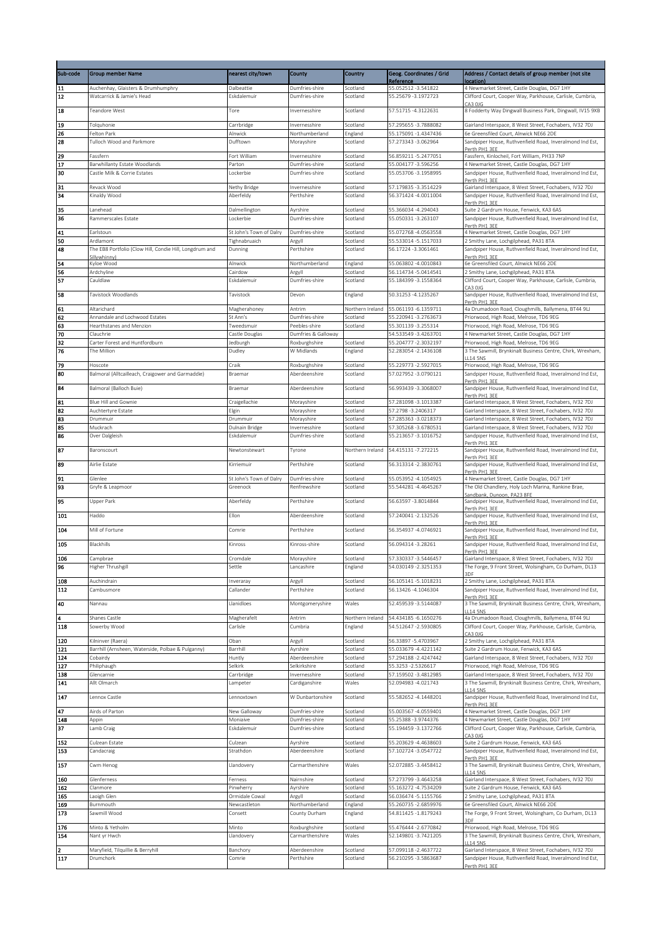| Sub-code              | <b>Group member Name</b>                                                | nearest city/town              | County                               | Country              | Geog. Coordinates / Grid                       | Address / Contact details of group member (not site                                                                 |
|-----------------------|-------------------------------------------------------------------------|--------------------------------|--------------------------------------|----------------------|------------------------------------------------|---------------------------------------------------------------------------------------------------------------------|
|                       |                                                                         |                                |                                      |                      | Reference                                      | ocation                                                                                                             |
| 11<br>$\overline{12}$ | Auchenhay, Glaisters & Drumhumphry<br>Watcarrick & Jamie's Head         | Dalbeattie<br>Eskdalemuir      | Dumfries-shire<br>Dumfries-shire     | Scotland<br>Scotland | 55.052512 - 3.541822<br>55.25679 - 3.1972723   | 4 Newmarket Street, Castle Douglas, DG7 1HY<br>Clifford Court, Cooper Way, Parkhouse, Carlisle, Cumbria,            |
|                       |                                                                         |                                |                                      |                      |                                                | CA3 OJG                                                                                                             |
| 18                    | Teandore West                                                           | Tore                           | Invernesshire                        | Scotland             | 57.51715 -4.3122631                            | 8 Fodderty Way Dingwall Business Park, Dingwall, IV15 9XB                                                           |
| 19                    | Tolguhonie                                                              | Carrbridge                     | Invernesshire                        | Scotland             | 57.295655-3.7888082                            | Gairland Interspace, 8 West Street, Fochabers, IV32 7DJ                                                             |
| 26                    | Felton Park                                                             | Alnwick                        | Northumberland                       | England              | 55.175091-1.4347436                            | 6e Greensfiled Court, Alnwick NE66 2DE                                                                              |
| 28                    | Tulloch Wood and Parkmore                                               | Dufftown                       | Morayshire                           | Scotland             | 57.273343 -3.062964                            | Sandpiper House, Ruthvenfield Road, Inveralmond Ind Est,<br>Perth PH1 3FF                                           |
| 29                    | Fassfern                                                                | Fort William                   | Invernesshire                        | Scotland             | 56.859211-5.2477051                            | Fassfern, Kinlocheil, Fort William, PH33 7NP                                                                        |
| 17                    | Barwhillanty Estate Woodlands                                           | Parton                         | Dumfries-shire                       | Scotland             | 55.004177 - 3.596256                           | 4 Newmarket Street, Castle Douglas, DG7 1HY                                                                         |
| 30                    | Castle Milk & Corrie Estates                                            | Lockerbie                      | Dumfries-shire                       | Scotland             | 55.053706 - 3.1958995                          | Sandpiper House, Ruthvenfield Road, Inveralmond Ind Est,<br>Perth PH1 3EE                                           |
| 31                    | Revack Wood                                                             | Nethy Bridge                   | Invernesshire                        | Scotland             | 57.179835 - 3.3514229                          | Gairland Interspace, 8 West Street, Fochabers, IV32 7DJ                                                             |
| 34                    | Kinaldy Wood                                                            | Aberfeldy                      | Perthshire                           | Scotland             | 56.371424 -4.0011004                           | Sandpiper House, Ruthvenfield Road, Inveralmond Ind Est,<br>Perth PH1 3EE                                           |
| 35                    | Lanehead                                                                | Dalmellington                  | Ayrshire                             | Scotland             | 55.366034 -4.294043                            | Suite 2 Gardrum House, Fenwick, KA3 6AS                                                                             |
| 36                    | Rammerscales Estate                                                     | Lockerbie                      | Dumfries-shire                       | Scotland             | 55.050331-3.263107                             | Sandpiper House, Ruthvenfield Road, Inveralmond Ind Est,<br>Perth PH1 3EE                                           |
| 41                    | Earlstoun                                                               | St John's Town of Dalry        | Dumfries-shire                       | Scotland             | 55.072768 -4.0563558                           | 4 Newmarket Street, Castle Douglas, DG7 1HY                                                                         |
| 50                    | Ardlamont                                                               | Tighnabruaich                  | Argyll                               | Scotland             | 55.533014 - 5.1517033                          | 2 Smithy Lane, Lochgilphead, PA31 8TA                                                                               |
| 48                    | The EB8 Portfolio (Clow Hill, Condie Hill, Longdrum and<br>Sillywhinny) | Dunning                        | Perthshire                           | Scotland             | 56.17224 -3.3061461                            | Sandpiper House, Ruthvenfield Road, Inveralmond Ind Est,<br>Perth PH1 3EE                                           |
| 54                    | Kyloe Wood                                                              | Alnwick                        | Northumberland                       | England              | 55.063802 -4.0010843                           | 6e Greensfiled Court, Alnwick NE66 2DE                                                                              |
| 56                    | Ardchyline                                                              | Cairdow                        | Argyll                               | Scotland             | 56.114734 - 5.0414541                          | 2 Smithy Lane, Lochgilphead, PA31 8TA                                                                               |
| 57                    | Cauldlaw                                                                | Eskdalemuir                    | Dumfries-shire                       | Scotland             | 55.184399 - 3.1558364                          | Clifford Court, Cooper Way, Parkhouse, Carlisle, Cumbria,<br>A300                                                   |
| 58                    | Tavistock Woodlands                                                     | Tavistock                      | Devon                                | England              | 50.31253 -4.1235267                            | Sandpiper House, Ruthvenfield Road, Inveralmond Ind Est,<br>Porth DH1 3FF                                           |
| 61                    | Altarichard                                                             | Magherahoney                   | Antrim                               | Northern Ireland     | 55.061193 -6.1359711                           | 4a Drumadoon Road, Cloughmills, Ballymena, BT44 9LJ                                                                 |
| 62                    | Annandale and Lochwood Estates                                          | St Ann's                       | Dumfries-shire                       | Scotland             | 55.220941-3.2763673                            | Priorwood, High Road, Melrose, TD6 9EG                                                                              |
| 63                    | Hearthstanes and Menzion                                                | Tweedsmuir                     | Peebles-shire                        | Scotland             | 55.301139 - 3.255314                           | Priorwood, High Road, Melrose, TD6 9EG                                                                              |
| 70<br>32              | Clauchrie<br>Carter Forest and Huntfordburn                             | Castle Douglas<br>ledburgh     | Dumfries & Galloway<br>Roxburghshire | Scotland             | 54.533549 - 3.4263701<br>55.204777 - 2.3032197 | 4 Newmarket Street, Castle Douglas, DG7 1HY<br>Priorwood, High Road, Melrose, TD6 9EG                               |
| 76                    | The Million                                                             | Dudley                         | W Midlands                           | England              | 52.283054 - 2.1436108                          | 3 The Sawmill, Brynkinalt Business Centre, Chirk, Wrexham,                                                          |
| 79                    | Hoscote                                                                 | Craik                          | Roxburghshire                        | Scotland             | 55.229773 - 2.5927015                          | <b>LL14 5NS</b><br>Priorwood, High Road, Melrose, TD6 9EG                                                           |
| 80                    | Balmoral (Alltcailleach, Craigower and Garmaddie)                       | Braemar                        | Aberdeenshire                        | Scotland             | 57.027952 -3.0790121                           | Sandpiper House, Ruthvenfield Road, Inveralmond Ind Est,                                                            |
|                       |                                                                         |                                |                                      |                      |                                                | Perth PH1 3EE                                                                                                       |
| 84                    | Balmoral (Balloch Buie)                                                 | Braemar                        | Aberdeenshire                        | Scotland             | 56.993439 - 3.3068007                          | Sandpiper House, Ruthvenfield Road, Inveralmond Ind Est,<br>Perth PH1 3FF                                           |
| 81                    | Blue Hill and Gownie                                                    | Craigellachie                  | Morayshire                           | Scotland             | 57.281098 - 3.1013387                          | Gairland Interspace, 8 West Street, Fochabers, IV32 7DJ                                                             |
| 82<br>83              | Auchtertyre Estate<br>Drummuir                                          | Elgin<br>Drummuir              | Morayshire<br>Morayshire             | Scotland<br>Scotland | 57.2798 - 3.2406317<br>57.285363-3.0218373     | Gairland Interspace, 8 West Street, Fochabers, IV32 7DJ<br>Gairland Interspace, 8 West Street, Fochabers, IV32 7DJ  |
| 85                    | Muckrach                                                                | Dulnain Bridge                 | Invernesshire                        | Scotland             | 57.305268 - 3.6780531                          | Gairland Interspace, 8 West Street, Fochabers, IV32 7DJ                                                             |
| 86                    | Over Dalgleish                                                          | Eskdalemuir                    | Dumfries-shire                       | Scotland             | 55.213657-3.1016752                            | Sandpiper House, Ruthvenfield Road, Inveralmond Ind Est,                                                            |
| 87                    | Baronscourt                                                             | Newtonstewart                  | Tyrone                               | Northern Ireland     | 54.415131-7.272215                             | Perth PH1 3EE<br>Sandpiper House, Ruthvenfield Road, Inveralmond Ind Est,                                           |
|                       |                                                                         |                                |                                      |                      |                                                | Perth PH1 3EE                                                                                                       |
| 89                    | Airlie Estate                                                           | Kirriemuir                     | Perthshire                           | Scotland             | 56.313314 - 2.3830761                          | Sandpiper House, Ruthvenfield Road, Inveralmond Ind Est,<br>Perth PH1 3FF                                           |
| 91                    | Glenlee                                                                 | St John's Town of Dalry        | Dumfries-shire                       | Scotland             | 55.053952 -4.1054925                           | 4 Newmarket Street, Castle Douglas, DG7 1HY                                                                         |
| 93                    | Gryfe & Leapmoor                                                        | Greenock                       | Renfrewshire                         | Scotland             | 55.544281-4.4645267                            | The Old Chandlery, Holy Loch Marina, Rankine Brae,                                                                  |
| 95                    | Upper Park                                                              | Aberfeldy                      | Perthshire                           | Scotland             | 56.63597 - 3.8014844                           | Sandbank, Dunoon, PA23 8FE<br>Sandpiper House, Ruthvenfield Road, Inveralmond Ind Est,                              |
| 101                   |                                                                         | Ellon                          |                                      |                      | 57.240041-2.132526                             | Perth PH1 3EE                                                                                                       |
|                       | Haddo                                                                   |                                | Aberdeenshire                        | Scotland             |                                                | Sandpiper House, Ruthvenfield Road, Inveralmond Ind Est,<br>Perth PH1 3EE                                           |
| 104                   | Mill of Fortune                                                         | Comrie                         | Perthshire                           | Scotland             | 56.354937 -4.0746921                           | Sandpiper House, Ruthvenfield Road, Inveralmond Ind Est,                                                            |
| 105                   | Blackhills                                                              | Kinross                        | Kinross-shire                        | Scotland             | 56.094314 -3.28261                             | Perth PH1 3EE<br>Sandpiper House, Ruthvenfield Road, Inveralmond Ind Est,                                           |
|                       |                                                                         | Cromdale                       | Morayshire                           | Scotland             | 57.330337-3.5446457                            | Perth PH1 3EE                                                                                                       |
| 106<br>96             | Campbrae<br>Higher Thrushgill                                           | Settle                         | Lancashire                           | England              | 54.030149 - 2.3251353                          | Gairland Interspace, 8 West Street, Fochabers, IV32 7DJ<br>The Forge, 9 Front Street, Wolsingham, Co Durham, DL13   |
|                       |                                                                         |                                |                                      |                      |                                                | ₹DF                                                                                                                 |
| 108<br>112            | Auchindrain<br>Cambusmore                                               | Inveraray<br>Callander         | Argyll<br>Perthshire                 | Scotland<br>Scotland | 56.105141-5.1018231<br>56.13426 -4.1046304     | 2 Smithy Lane, Lochgilphead, PA31 8TA<br>Sandpiper House, Ruthvenfield Road, Inveralmond Ind Est,                   |
|                       |                                                                         |                                |                                      |                      |                                                | Perth PH1 3EE                                                                                                       |
| 40                    | Nannau                                                                  | Llanidloes                     | Montgomeryshire                      | Wales                | 52.459539 - 3.5144087                          | 3 The Sawmill, Brynkinalt Business Centre, Chirk, Wrexham,<br><b>114 5NS</b>                                        |
| 4                     | Shanes Castle                                                           | Magherafelt                    | Antrim                               | Northern Ireland     | 54.434185 - 6.1650276                          | 4a Drumadoon Road, Cloughmills, Ballymena, BT44 9LJ                                                                 |
| 118                   | Sowerby Wood                                                            | Carlisle                       | Cumbria                              | England              | 54.512647 - 2.5930805                          | Clifford Court, Cooper Way, Parkhouse, Carlisle, Cumbria,<br>CA3 OJG                                                |
| 120                   | Kilninver (Raera)                                                       | Oban                           | Argyll                               | Scotland             | 56.33897 - 5.4703967                           | 2 Smithy Lane, Lochgilphead, PA31 8TA                                                                               |
| 121                   | Barrhill (Arnsheen, Waterside, Polbae & Pulganny)                       | Barrhill                       | Ayrshire                             | Scotland             | 55.033679 -4.4221142                           | Suite 2 Gardrum House, Fenwick, KA3 6AS                                                                             |
| 124<br>127            | Cobairdy<br>Philiphaugh                                                 | Huntly<br>Selkirk              | Aberdeenshire<br>Selkirkshire        | Scotland<br>Scotland | 57.294188 - 2.4247442<br>55.3253 - 2.5326617   | Gairland Interspace, 8 West Street, Fochabers, IV32 7DJ<br>Priorwood, High Road, Melrose, TD6 9EG                   |
| 138                   | Glencarnie                                                              | Carrbridge                     | Invernesshire                        | Scotland             | 57.159502 -3.4812985                           | Gairland Interspace, 8 West Street, Fochabers, IV32 7DJ                                                             |
| 141                   | Allt Olmarch                                                            | Lampeter                       | Cardiganshire                        | Wales                | 52.094983 -4.021743                            | 3 The Sawmill, Brynkinalt Business Centre, Chirk, Wrexham,                                                          |
| 147                   | Lennox Castle                                                           | Lennoxtown                     | W Dunbartonshire                     | Scotland             | 55.582652 -4.1448201                           | <b>114.5NS</b><br>Sandpiper House, Ruthvenfield Road, Inveralmond Ind Est,                                          |
|                       |                                                                         |                                |                                      |                      |                                                | Perth PH1 3EE                                                                                                       |
| 47<br>148             | Airds of Parton<br>Appin                                                | New Galloway<br>Moniaive       | Dumfries-shire<br>Dumfries-shire     | Scotland<br>Scotland | 55.003567 - 4.0559401<br>55.25388 - 3.9744376  | 4 Newmarket Street, Castle Douglas, DG7 1HY<br>4 Newmarket Street, Castle Douglas, DG7 1HY                          |
| 37                    | Lamb Craig                                                              | Eskdalemuir                    | Dumfries-shire                       | Scotland             | 55.194459 - 3.1372766                          | Clifford Court, Cooper Way, Parkhouse, Carlisle, Cumbria,                                                           |
|                       |                                                                         |                                |                                      |                      |                                                |                                                                                                                     |
| 152<br>153            | Culzean Estate<br>Candacraig                                            | Culzean<br>Strathdon           | Ayrshire<br>Aberdeenshire            | Scotland<br>Scotland | 55.203629 -4.4638603<br>57.102724 -3.0547722   | Suite 2 Gardrum House, Fenwick, KA3 6AS<br>Sandpiper House, Ruthvenfield Road, Inveralmond Ind Est,                 |
|                       |                                                                         |                                |                                      |                      |                                                | Perth PH1 3EE                                                                                                       |
| 157                   | Cwm Henog                                                               | Llandovery                     | Carmarthenshire                      | Wales                | 52.072885 - 3.4458412                          | 3 The Sawmill, Brynkinalt Business Centre, Chirk, Wrexham,<br><b>114.5NS</b>                                        |
| 160                   | Glenferness                                                             | Ferness                        | Nairnshire                           | Scotland             | 57.273799 - 3.4643258                          | Gairland Interspace, 8 West Street, Fochabers, IV32 7DJ                                                             |
| 162                   | Clanmore                                                                | Pinwherry                      | Ayrshire                             | Scotland             | 55.163272 -4.7534209                           | Suite 2 Gardrum House, Fenwick, KA3 6AS                                                                             |
| 165<br>169            | Laoigh Glen<br>Burnmouth                                                | Ormidale Cowal<br>Newcastleton | Argyll<br>Northumberland             | Scotland<br>England  | 56.036474 - 5.1155766<br>55.260735 - 2.6859976 | 2 Smithy Lane, Lochgilphead, PA31 8TA<br>6e Greensfiled Court, Alnwick NE66 2DE                                     |
| 173                   | Sawmill Wood                                                            | Consett                        | County Durham                        | England              | 54.811425 -1.8179243                           | The Forge, 9 Front Street, Wolsingham, Co Durham, DL13                                                              |
|                       |                                                                         |                                |                                      |                      |                                                | ጓDF                                                                                                                 |
| 176<br>154            | Minto & Yetholm<br>Nant yr Hwch                                         | Minto<br>Llandovery            | Roxburghshire<br>Carmarthenshire     | Scotland<br>Wales    | 55.476444 - 2.6770842<br>52.149801-3.7421205   | Priorwood, High Road, Melrose, TD6 9EG<br>3 The Sawmill, Brynkinalt Business Centre, Chirk, Wrexham,                |
|                       |                                                                         |                                |                                      |                      |                                                | 114 5N <sup>s</sup>                                                                                                 |
| $\overline{a}$<br>117 | Maryfield, Tilquillie & Berryhill<br>Drumchork                          | Banchory<br>Comrie             | Aberdeenshire<br>Perthshire          | Scotland<br>Scotland | 57.099118 -2.4637722<br>56.210295 - 3.5863687  | Gairland Interspace, 8 West Street, Fochabers, IV32 7DJ<br>Sandpiper House, Ruthvenfield Road, Inveralmond Ind Est, |
|                       |                                                                         |                                |                                      |                      |                                                | Perth PH1 3EE                                                                                                       |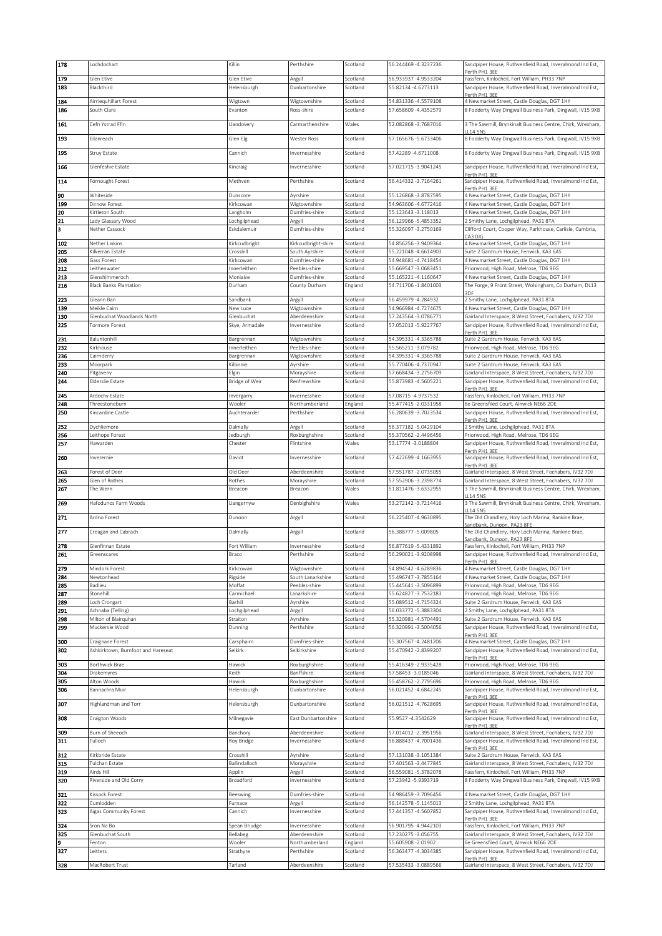| 178        | Lochdochart                                | Killin                      | Perthshire                      | Scotland             | 56.244469 - 4.3237236                          | Sandpiper House, Ruthvenfield Road, Inveralmond Ind Est,                                                           |
|------------|--------------------------------------------|-----------------------------|---------------------------------|----------------------|------------------------------------------------|--------------------------------------------------------------------------------------------------------------------|
| 179        | Glen Etive                                 | Glen Etive                  | Argyll                          | Scotland             | 56.933937-4.9533204                            | Perth PH1 3EE<br>Fassfern, Kinlocheil, Fort William, PH33 7NP                                                      |
| 183        | Blackthird                                 | Helensburgh                 | Dunbartonshire                  | Scotland             | 55.82134 - 4.6273113                           | Sandpiper House, Ruthvenfield Road, Inveralmond Ind Est,                                                           |
|            |                                            |                             |                                 |                      |                                                | Perth PH1 3EE                                                                                                      |
| 184        | Airriequhillart Forest                     | Wigtown                     | Wigtownshire                    | Scotland             | 54.831336 -4.5579108                           | 4 Newmarket Street, Castle Douglas, DG7 1HY                                                                        |
| 186        | South Clare                                | Evanton                     | Ross-shire                      | Scotland             | 57.658609 - 4.4352579                          | 8 Fodderty Way Dingwall Business Park, Dingwall, IV15 9XB                                                          |
| 161        | Cefn Ystrad Ffin                           | Llandovery                  | Carmarthenshire                 | Wales                | 52.082868 - 3.7687016                          | 3 The Sawmill, Brynkinalt Business Centre, Chirk, Wrexham,                                                         |
|            |                                            |                             |                                 |                      |                                                | 114.5N°                                                                                                            |
| 193        | Eilanreach                                 | Glen Elg                    | Wester Ross                     | Scotland             | 57.165676 - 5.6733406                          | 8 Fodderty Way Dingwall Business Park, Dingwall, IV15 9XB                                                          |
| 195        | Struy Estate                               | Cannich                     | Invernesshire                   | Scotland             | 57.42289 -4.6711008                            | 8 Fodderty Way Dingwall Business Park, Dingwall, IV15 9XB                                                          |
|            |                                            |                             |                                 |                      |                                                |                                                                                                                    |
| 166        | Glenfeshie Estate                          | Kincraig                    | Invernesshire                   | Scotland             | 57.021715 - 3.9041245                          | Sandpiper House, Ruthvenfield Road, Inveralmond Ind Est,                                                           |
| 114        | Fornought Forest                           | Methven                     | Perthshire                      | Scotland             | 56.414332 - 3.7164261                          | Perth PH1 3EE<br>Sandpiper House, Ruthvenfield Road, Inveralmond Ind Est,                                          |
|            |                                            |                             |                                 |                      |                                                | Perth PH1 3EE                                                                                                      |
| 90         | Whiteside                                  | Dunscore                    | Ayrshire                        | Scotland             | 55.126868 - 3.8787595                          | 4 Newmarket Street, Castle Douglas, DG7 1HY                                                                        |
| 199        | Dirnow Forest                              | Kirkcowan                   | Wigtownshire                    | Scotland             | 54.963606 - 4.6772416                          | 4 Newmarket Street, Castle Douglas, DG7 1HY                                                                        |
| 20         | Kirtleton South                            | Langholm                    | Dumfries-shire                  | Scotland             | 55.123643 -3.118013                            | 4 Newmarket Street, Castle Douglas, DG7 1HY                                                                        |
| 21<br>3    | Lady Glassary Wood<br>Nether Cassock       | .ochgilphead<br>Eskdalemuir | Argyll<br>Dumfries-shire        | Scotland<br>Scotland | 56.129966 - 5.4853352<br>55.326097 - 3.2750169 | 2 Smithy Lane, Lochgilphead, PA31 8TA<br>Clifford Court, Cooper Way, Parkhouse, Carlisle, Cumbria,                 |
|            |                                            |                             |                                 |                      |                                                | CA3 OJG                                                                                                            |
| 102        | Nether Linkins                             | Kirkcudbright               | Kirkcudbright-shire             | Scotland             | 54.856256 - 3.9409364                          | 4 Newmarket Street, Castle Douglas, DG7 1HY                                                                        |
| 205        | Kilkerran Estate                           | Crosshill                   | South Ayrshire                  | Scotland             | 55.221048 -4.6614903                           | Suite 2 Gardrum House, Fenwick, KA3 6AS                                                                            |
| 208<br>212 | Gass Forest                                | Kirkcowan                   | Dumfries-shire                  | Scotland             | 54.948681-4.7418454                            | 4 Newmarket Street, Castle Douglas, DG7 1HY                                                                        |
| 213        | Leithenwater<br>Glenshimmeroch             | Innerleithen<br>Moniaive    | Peebles-shire<br>Dumfries-shire | Scotland<br>Scotland | 55.669547-3.0683451<br>55.165221-4.1160647     | Priorwood, High Road, Melrose, TD6 9EG<br>4 Newmarket Street, Castle Douglas, DG7 1HY                              |
| 216        | <b>Black Banks Plantation</b>              | Durham                      | County Durham                   | England              | 54.711706 -1.8401003                           | The Forge, 9 Front Street, Wolsingham, Co Durham, DL13                                                             |
|            |                                            |                             |                                 |                      |                                                | RDE                                                                                                                |
| 223        | Gleann Ban                                 | Sandbank                    | Argyll                          | Scotland             | 56.459979 -4.284932                            | 2 Smithy Lane, Lochgilphead, PA31 8TA                                                                              |
| 139<br>130 | Meikle Cairn<br>Glenbuchat Woodlands North | New Luce<br>Glenbuchat      | Wigtownshire<br>Aberdeenshire   | Scotland<br>Scotland | 54.966984 - 4.7274675<br>57.243564 - 3.0786771 | 4 Newmarket Street, Castle Douglas, DG7 1HY<br>Gairland Interspace, 8 West Street, Fochabers, IV32 7DJ             |
| 225        | Tormore Forest                             | Skye, Armadale              | Invernesshire                   | Scotland             | 57.052013 - 5.9227767                          | Sandpiper House, Ruthvenfield Road, Inveralmond Ind Est,                                                           |
|            |                                            |                             |                                 |                      |                                                | Perth PH1 3FF                                                                                                      |
| 231        | Baluntonhill                               | Bargrennan                  | Wigtownshire                    | Scotland             | 54.395331-4.3365788                            | Suite 2 Gardrum House, Fenwick, KA3 6AS                                                                            |
| 232<br>236 | Kirkhouse<br>Cairnderry                    | Innerleithen<br>Bargrennan  | Peebles-shire<br>Wigtownshire   | Scotland<br>Scotland | 55.565211-3.079782<br>54.395331-4.3365788      | Priorwood, High Road, Melrose, TD6 9EG<br>Suite 2 Gardrum House, Fenwick, KA3 6AS                                  |
| 233        | Moorpark                                   | Kilbirnie                   | Ayrshire                        | Scotland             | 55.770406 -4.7370947                           | Suite 2 Gardrum House, Fenwick, KA3 6AS                                                                            |
| 240        | Pitgaveny                                  | Elgin                       | Morayshire                      | Scotland             | 57.668434 - 3.2756709                          | Gairland Interspace, 8 West Street, Fochabers, IV32 7DJ                                                            |
| 244        | Elderslie Estate                           | Bridge of Weir              | Renfrewshire                    | Scotland             | 55.873983 -4.5605221                           | Sandpiper House, Ruthvenfield Road, Inveralmond Ind Est,                                                           |
|            |                                            |                             |                                 |                      |                                                | Perth PH1 3EE                                                                                                      |
| 245<br>248 | Ardochy Estate<br>Threestoneburn           | Invergarry<br>Wooler        | Invernesshire<br>Northumberland | Scotland<br>England  | 57.08715 -4.9737532<br>55.477415 - 2.0331958   | Fassfern, Kinlocheil, Fort William, PH33 7NP<br>6e Greensfiled Court, Alnwick NE66 2DE                             |
| 250        | Kincardine Castle                          | Auchterarder                | Perthshire                      | Scotland             | 56.280639 - 3.7023534                          | Sandpiper House, Ruthvenfield Road, Inveralmond Ind Est,                                                           |
|            |                                            |                             |                                 |                      |                                                | Perth PH1 3EE                                                                                                      |
| 252        | Dychliemore                                | Dalmally                    | Argyll                          | Scotland             | 56.377182 - 5.0429104                          | 2 Smithy Lane, Lochgilphead, PA31 8TA                                                                              |
| 256<br>257 | Leithope Forest<br>Hawarden                | Jedburgh<br>Chester         | Roxburghshire<br>Flintshire     | Scotland<br>Wales    | 55.370562 - 2.4496456<br>53.17774 - 3.0188804  | Priorwood, High Road, Melrose, TD6 9EG<br>Sandpiper House, Ruthvenfield Road, Inveralmond Ind Est,                 |
|            |                                            |                             |                                 |                      |                                                | Perth PH1 3EE                                                                                                      |
| 260        | Inverernie                                 | Daviot                      | Invernesshire                   | Scotland             | 57.422699 - 4.1663955                          | Sandpiper House, Ruthvenfield Road, Inveralmond Ind Est,                                                           |
|            |                                            |                             |                                 |                      |                                                |                                                                                                                    |
|            |                                            |                             |                                 |                      |                                                | Perth PH1 3FF                                                                                                      |
| 263<br>265 | Forest of Deer<br>Glen of Rothes           | Old Deer<br>Rothes          | Aberdeenshire<br>Morayshire     | Scotland<br>Scotland | 57.551787 - 2.0735055<br>57.552906 - 3.2398774 | Gairland Interspace, 8 West Street, Fochabers, IV32 7DJ<br>Gairland Interspace, 8 West Street, Fochabers, IV32 7DJ |
| 267        | The Wern                                   | Breacon                     | Breacon                         | Wales                | 51.811476 - 3.6332955                          | 3 The Sawmill, Brynkinalt Business Centre, Chirk, Wrexham,                                                         |
|            |                                            |                             |                                 |                      |                                                | <b>L14 5NS</b>                                                                                                     |
| 269        | Hafodunos Farm Woods                       | Llangernyw                  | Denbighshire                    | Wales                | 53.272142 - 3.7214416                          | 3 The Sawmill, Brynkinalt Business Centre, Chirk, Wrexham,<br><b>L14 5NS</b>                                       |
| 271        | Ardno Forest                               | Dunoon                      | Argyll                          | Scotland             | 56.225407 - 4.9630895                          | The Old Chandlery, Holy Loch Marina, Rankine Brae,                                                                 |
|            |                                            |                             |                                 |                      |                                                | Sandbank, Dunoon, PA23 8FE                                                                                         |
| 277        | Creagan and Cabrach                        | Dalmally                    | Argyll                          | Scotland             | 56.388777-5.009805                             | The Old Chandlery, Holy Loch Marina, Rankine Brae,<br>andbank, Dunoon, PA23 8FE                                    |
| 278        | Glenfinnan Estate                          | Fort William                | Invernesshire                   | Scotland             | 56.877619 - 5.4331892                          | Fassfern, Kinlocheil, Fort William, PH33 7NP                                                                       |
| 261        | Greenscares                                | Braco                       | Perthshire                      | Scotland             | 56.290021-3.9208998                            | Sandpiper House, Ruthvenfield Road, Inveralmond Ind Est,                                                           |
| 279        | Mindork Forest                             | Kirkcowan                   | Wigtownshire                    | Scotland             | 54.894542 -4.6289836                           | Perth PH1 3EE<br>4 Newmarket Street, Castle Douglas, DG7 1HY                                                       |
| 284        | Newtonhead                                 | Rigside                     | South Lanarkshire               | Scotland             | 55.496747 - 3.7855164                          | 4 Newmarket Street, Castle Douglas, DG7 1HY                                                                        |
| 285        | Badlieu                                    | Moffat                      | Peebles-shire                   | Scotland             | 55.445641 - 3.5096899                          | Priorwood, High Road, Melrose, TD6 9EG                                                                             |
| 287        | Stonehill                                  | Carmichael                  | Lanarkshire                     | Scotland             | 55.624827-3.7532183                            | Priorwood, High Road, Melrose, TD6 9EG                                                                             |
| 289        | Loch Crongart                              | Barhill                     | Ayrshire                        | Scotland             | 55.089512 -4.7154324                           | Suite 2 Gardrum House, Fenwick, KA3 6AS                                                                            |
| 291        | Achnaba (Telling)                          | Lochgilphead                | Argyll                          | Scotland             | 56.033772 - 5.3883304                          | 2 Smithy Lane, Lochgilphead, PA31 8TA                                                                              |
| 298<br>299 | Milton of Blairquhan<br>Muckersie Wood     | Straiton<br>Dunning         | Ayrshire<br>Perthshire          | Scotland<br>Scotland | 55.320981-4.5704491<br>56.320991-3.5004056     | Suite 2 Gardrum House, Fenwick, KA3 6AS<br>Sandpiper House, Ruthvenfield Road, Inveralmond Ind Est.                |
|            |                                            |                             |                                 |                      |                                                | Perth PH1 3FF                                                                                                      |
| 300        | Craignane Forest                           | Carsphairn                  | Dumfries-shire                  | Scotland             | 55.307567 -4.2481206                           | 4 Newmarket Street, Castle Douglas, DG7 1HY                                                                        |
| 302        | Ashkirktown, Burnfoot and Hareseat         | Selkirk                     | Selkirkshire                    | Scotland             | 55.470942 - 2.8399207                          | Sandpiper House, Ruthvenfield Road, Inveralmond Ind Est,<br>Perth PH1 3FF                                          |
| 303        | Borthwick Brae                             | Hawick                      | Roxburghshire                   | Scotland             | 55.416349 - 2.9335428                          | Priorwood, High Road, Melrose, TD6 9EG                                                                             |
| 304        | Drakemyres                                 | Keith                       | Banffshire                      | Scotland             | 57.58453 -3.0185046                            | Gairland Interspace, 8 West Street, Fochabers, IV32 7DJ                                                            |
| 305        | Alton Woods                                | Hawick                      | Roxburghshire                   | Scotland             | 55.458762 - 2.7795696                          | Priorwood, High Road, Melrose, TD6 9EG                                                                             |
| 306        | Bannachra Muir                             | Helensburgh                 | Dunbartonshire                  | Scotland             | 56.021452 -4.6842245                           | Sandpiper House, Ruthvenfield Road, Inveralmond Ind Est,<br>Perth PH1 3EE                                          |
| 307        | Highlandman and Torr                       | Helensburgh                 | Dunbartonshire                  | Scotland             | 56.021512 -4.7628695                           | Sandpiper House, Ruthvenfield Road, Inveralmond Ind Est,                                                           |
|            |                                            |                             |                                 |                      |                                                | Perth PH1 3EE                                                                                                      |
| 308        | Craigton Woods                             | Milnegavie                  | East Dunbartonshire             | Scotland             | 55.9527 -4.3542629                             | Sandpiper House, Ruthvenfield Road, Inveralmond Ind Est,<br>Perth PH1 3EE                                          |
| 309        | Burn of Sheeoch                            | Banchory                    | Aberdeenshire                   | Scotland             | 57.014012 -2.3951956                           | Gairland Interspace, 8 West Street, Fochabers, IV32 7DJ                                                            |
| 311        | Tulloch                                    | Roy Bridge                  | Invernesshire                   | Scotland             | 56.888437 - 4.7001436                          | Sandpiper House, Ruthvenfield Road, Inveralmond Ind Est,                                                           |
| 312        | Kirkbride Estate                           | Crosshill                   | Ayrshire                        | Scotland             | 57.131038 - 3.1051384                          | Perth PH1 3EE<br>Suite 2 Gardrum House, Fenwick, KA3 6AS                                                           |
| 315        | Tulchan Estate                             | Ballindalloch               | Morayshire                      | Scotland             | 57.401563 -3.4477845                           | Gairland Interspace, 8 West Street, Fochabers, IV32 7DJ                                                            |
| 319        | Airds Hill                                 | Applin                      | Argyll                          | Scotland             | 56.559081-5.3782078                            | Fassfern, Kinlocheil, Fort William, PH33 7NP                                                                       |
| 320        | Riverside and Old Corry                    | Broadford                   | Invernesshire                   | Scotland             | 57.23942 - 5.9393719                           | 8 Fodderty Way Dingwall Business Park, Dingwall, IV15 9XB                                                          |
| 321        | Kissock Forest                             |                             | Dumfries-shire                  | Scotland             | 54.986459 - 3.7096456                          | 4 Newmarket Street, Castle Douglas, DG7 1HY                                                                        |
| 322        | Cumlodden                                  | Beeswing<br>Furnace         | Argyll                          | Scotland             | 56.142578 -5.1145013                           | 2 Smithy Lane, Lochgilphead, PA31 8TA                                                                              |
| 323        | Aigas Community Forest                     | Cannich                     | Invernesshire                   | Scotland             | 57.441357 - 4.5607852                          | Sandpiper House, Ruthvenfield Road, Inveralmond Ind Est,                                                           |
|            |                                            |                             |                                 |                      |                                                | Perth PH1 3EE                                                                                                      |
| 324<br>325 | Sron Na Bo<br>Glenbuchat South             | Spean Briudge<br>Bellabeg   | Invernesshire<br>Aberdeenshire  | Scotland<br>Scotland | 56.901795 -4.9442103<br>57.230275 - 3.056755   | Fassfern, Kinlocheil, Fort William, PH33 7NP<br>Gairland Interspace, 8 West Street, Fochabers, IV32 7DJ            |
| 9          | Fenton                                     | Wooler                      | Northumberland                  | England              | 55.605908 - 2.01902                            | 6e Greensfiled Court, Alnwick NE66 2DE                                                                             |
| 327        | Leitters                                   | Strathyre                   | Perthshire                      | Scotland             | 56.363477 - 4.3034385                          | Sandpiper House, Ruthvenfield Road, Inveralmond Ind Est,                                                           |
| 328        | MacRobert Trust                            | Tarland                     | Aberdeenshire                   | Scotland             | 57.535433 - 3.0889566                          | Perth PH1 3EE<br>Gairland Interspace, 8 West Street, Fochabers, IV32 7DJ                                           |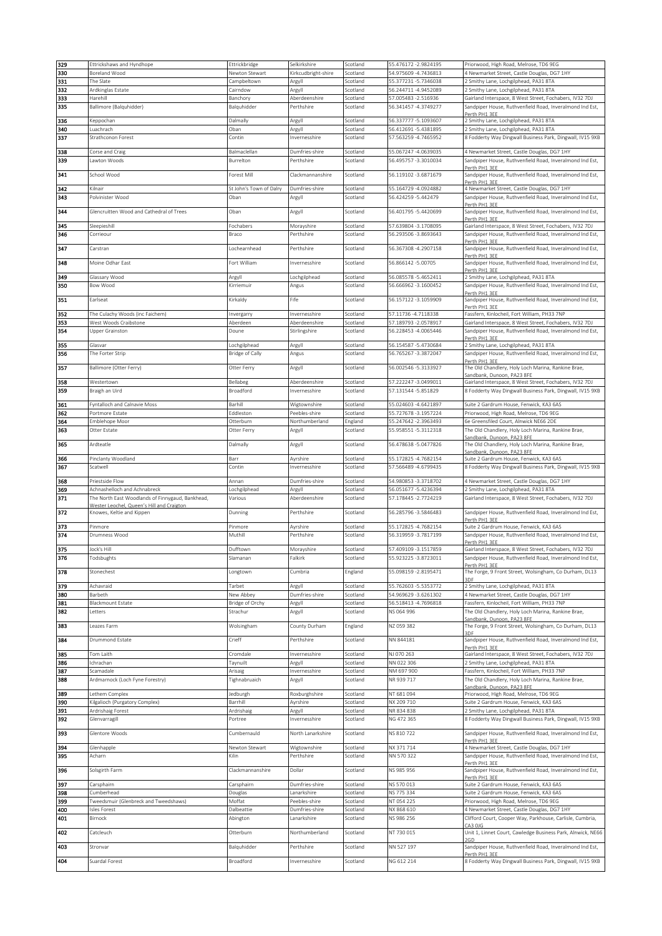|     | Ettrickshaws and Hyndhope                                                                     | Ettrickbridge           | Selkirkshire        | Scotland | 55.476172 - 2.9824195 | Priorwood, High Road, Melrose, TD6 9EG                                           |
|-----|-----------------------------------------------------------------------------------------------|-------------------------|---------------------|----------|-----------------------|----------------------------------------------------------------------------------|
| 330 | Boreland Wood                                                                                 | Newton Stewart          | Kirkcudbright-shire | Scotland | 54.975609 - 4.7436813 | 4 Newmarket Street, Castle Douglas, DG7 1HY                                      |
| 331 | The Slate                                                                                     | Campbeltown             | Argyll              | Scotland | 55.377231-5.7346038   | 2 Smithy Lane, Lochgilphead, PA31 8TA                                            |
| 332 | Ardkinglas Estate                                                                             | Cairndow                | Argyll              | Scotland | 56.244711-4.9452089   | 2 Smithy Lane, Lochgilphead, PA31 8TA                                            |
| 333 | Harehill                                                                                      | Banchory                | Aberdeenshire       | Scotland | 57.005483 - 2.516936  | Gairland Interspace, 8 West Street, Fochabers, IV32 7DJ                          |
| 335 | Ballimore (Balquhidder)                                                                       | Balquhidder             | Perthshire          | Scotland | 56.341457 - 4.3749277 | Sandpiper House, Ruthvenfield Road, Inveralmond Ind Est,                         |
|     |                                                                                               |                         |                     |          |                       | Perth PH1 3EE                                                                    |
| 336 | Keppochan                                                                                     | Dalmally                | Argyll              | Scotland | 56.337777 - 5.1093607 | 2 Smithy Lane, Lochgilphead, PA31 8TA                                            |
| 340 | Luachrach                                                                                     | Oban                    | Argyll              | Scotland | 56.412691-5.4381895   | 2 Smithy Lane, Lochgilphead, PA31 8TA                                            |
| 337 | Strathconon Forest                                                                            | Contin                  | Invernesshire       | Scotland | 57.563259 - 4.7465952 | 8 Fodderty Way Dingwall Business Park, Dingwall, IV15 9XB                        |
|     |                                                                                               |                         |                     |          |                       |                                                                                  |
| 338 | Corse and Craig                                                                               | Balmaclellan            | Dumfries-shire      | Scotland | 55.067247 -4.0639035  | 4 Newmarket Street, Castle Douglas, DG7 1HY                                      |
| 339 | Lawton Woods                                                                                  | Burrelton               | Perthshire          | Scotland | 56.495757 - 3.3010034 | Sandpiper House, Ruthvenfield Road, Inveralmond Ind Est,                         |
|     |                                                                                               |                         |                     |          |                       | Perth PH1 3EE                                                                    |
| 341 | School Wood                                                                                   | Forest Mill             | Clackmannanshire    | Scotland | 56.119102 - 3.6871679 | Sandpiper House, Ruthvenfield Road, Inveralmond Ind Est,                         |
|     |                                                                                               |                         |                     |          |                       | Perth PH1 3FF                                                                    |
| 342 | Kilnair                                                                                       | St John's Town of Dalry | Dumfries-shire      | Scotland | 55.164729 -4.0924882  | 4 Newmarket Street, Castle Douglas, DG7 1HY                                      |
| 343 | Polvinister Wood                                                                              | Oban                    | Argyll              | Scotland | 56.424259 - 5.442479  | Sandpiper House, Ruthvenfield Road, Inveralmond Ind Est,<br>Perth PH1 3FF        |
| 344 | Glencruitten Wood and Cathedral of Trees                                                      | Oban                    | Argyll              | Scotland | 56.401795 - 5.4420699 | Sandpiper House, Ruthvenfield Road, Inveralmond Ind Est,                         |
|     |                                                                                               |                         |                     |          |                       | Perth PH1 3EE                                                                    |
| 345 | Sleepieshill                                                                                  | Fochabers               | Morayshire          | Scotland | 57.639804 - 3.1708095 | Gairland Interspace, 8 West Street, Fochabers, IV32 7DJ                          |
| 346 | Corrieour                                                                                     | Braco                   | Perthshire          | Scotland | 56.293506 - 3.8693643 | Sandpiper House, Ruthvenfield Road, Inveralmond Ind Est,                         |
|     |                                                                                               |                         |                     |          |                       | Perth PH1 3EE                                                                    |
| 347 | Carstran                                                                                      | Lochearnhead            | Perthshire          | Scotland | 56.367308 -4.2907158  | Sandpiper House, Ruthvenfield Road, Inveralmond Ind Est,                         |
|     |                                                                                               |                         |                     |          |                       | Perth PH1 3EE                                                                    |
| 348 | Moine Odhar East                                                                              | Fort William            | Invernesshire       | Scotland | 56.866142 - 5.00705   | Sandpiper House, Ruthvenfield Road, Inveralmond Ind Est,                         |
|     |                                                                                               |                         |                     |          |                       | Perth PH1 3EE                                                                    |
| 349 | Glassary Wood                                                                                 | Argyll                  | Lochgilphead        | Scotland | 56.085578 - 5.4652411 | 2 Smithy Lane, Lochgilphead, PA31 8TA                                            |
| 350 | Bow Wood                                                                                      | Kirriemuir              | Angus               | Scotland | 56.666962 - 3.1600452 | Sandpiper House, Ruthvenfield Road, Inveralmond Ind Est,                         |
| 351 |                                                                                               | Kirkaldy                | Fife                | Scotland | 56.157122 -3.1059909  | Perth PH1 3EE<br>Sandpiper House, Ruthvenfield Road, Inveralmond Ind Est,        |
|     | Earlseat                                                                                      |                         |                     |          |                       | Perth PH1 3EE                                                                    |
| 352 | The Culachy Woods (inc Faichem)                                                               | Invergarry              | Invernesshire       | Scotland | 57.11736 - 4.7118338  | Fassfern, Kinlocheil, Fort William, PH33 7NP                                     |
| 353 | West Woods Craibstone                                                                         | Aberdeen                | Aberdeenshire       | Scotland | 57.189793 - 2.0578917 | Gairland Interspace, 8 West Street, Fochabers, IV32 7DJ                          |
| 354 | Upper Grainston                                                                               | Doune                   | Stirlingshire       | Scotland | 56.228453 -4.0065446  | Sandpiper House, Ruthvenfield Road, Inveralmond Ind Est,                         |
|     |                                                                                               |                         |                     |          |                       | Perth PH1 3FF                                                                    |
| 355 | Glasvar                                                                                       | Lochgilphead            | Argyll              | Scotland | 56.154587 - 5.4730684 | 2 Smithy Lane, Lochgilphead, PA31 8TA                                            |
| 356 | The Forter Strip                                                                              | Bridge of Cally         | Angus               | Scotland | 56.765267 - 3.3872047 | Sandpiper House, Ruthvenfield Road, Inveralmond Ind Est,                         |
|     |                                                                                               |                         |                     |          |                       | Perth PH1 3EE                                                                    |
| 357 | Ballimore (Otter Ferry)                                                                       | Otter Ferry             | Argyll              | Scotland | 56.002546 - 5.3133927 | The Old Chandlery, Holy Loch Marina, Rankine Brae,                               |
|     |                                                                                               |                         |                     |          |                       | andbank, Dunoon, PA23 8FE                                                        |
| 358 | Westertown                                                                                    | Bellabeg                | Aberdeenshire       | Scotland | 57.222247-3.0499011   | Gairland Interspace, 8 West Street, Fochabers, IV32 7DJ                          |
| 359 | Braigh an Uird                                                                                | Broadford               | Invernesshire       | Scotland | 57.131544 - 5.851829  | 8 Fodderty Way Dingwall Business Park, Dingwall, IV15 9XB                        |
|     |                                                                                               |                         |                     |          |                       |                                                                                  |
| 361 | Fyntalloch and Calnavie Moss                                                                  | Barhill                 | Wigtownshire        | Scotland | 55.024603 -4.6421897  | Suite 2 Gardrum House, Fenwick, KA3 6AS                                          |
| 362 | Portmore Estate                                                                               | Eddleston               | Peebles-shire       | Scotland | 55.727678-3.1957224   | Priorwood, High Road, Melrose, TD6 9EG                                           |
| 364 | Emblehope Moor                                                                                | Otterburn               | Northumberland      | England  | 55.247642 - 2.3963493 | 6e Greensfiled Court, Alnwick NE66 2DE                                           |
| 363 | Otter Estate                                                                                  | Otter Ferry             | Argyll              | Scotland | 55.958551-5.3112318   | The Old Chandlery, Holy Loch Marina, Rankine Brae,                               |
|     |                                                                                               |                         |                     |          |                       | Sandbank, Dunoon, PA23 8FE                                                       |
| 365 | Ardteatle                                                                                     | Dalmally                | Argyll              | Scotland | 56.478638-5.0477826   | The Old Chandlery, Holy Loch Marina, Rankine Brae,                               |
|     |                                                                                               |                         |                     |          |                       | Sandbank, Dunoon, PA23 8FE                                                       |
| 366 | Pinclanty Woodland                                                                            | Barr                    | Ayrshire            | Scotland | 55.172825 -4.7682154  | Suite 2 Gardrum House, Fenwick, KA3 6AS                                          |
| 367 | Scatwell                                                                                      | Contin                  | Invernesshire       | Scotland | 57.566489 -4.6799435  | 8 Fodderty Way Dingwall Business Park, Dingwall, IV15 9XB                        |
| 368 | Priestside Flow                                                                               | Annan                   | Dumfries-shire      | Scotland | 54.980853 - 3.3718702 | 4 Newmarket Street, Castle Douglas, DG7 1HY                                      |
| 369 | Achnashelloch and Achnabreck                                                                  |                         |                     | Scotland | 56.051677 - 5.4236394 | 2 Smithy Lane, Lochgilphead, PA31 8TA                                            |
|     |                                                                                               | Lochgilphead            | Argyll              |          |                       |                                                                                  |
| 371 | The North East Woodlands of Finnygaud, Bankhead,<br>Wester Leochel, Queen's Hill and Craigton | Various                 | Aberdeenshire       | Scotland | 57.178445 - 2.7724219 | Gairland Interspace, 8 West Street, Fochabers, IV32 7DJ                          |
|     |                                                                                               |                         |                     |          |                       |                                                                                  |
|     |                                                                                               |                         |                     |          |                       |                                                                                  |
| 372 | Knowes, Keltie and Kippen                                                                     | Dunning                 | Perthshire          | Scotland | 56.285796 - 3.5846483 | Sandpiper House, Ruthvenfield Road, Inveralmond Ind Est,                         |
| 373 | Pinmore                                                                                       |                         |                     | Scotland |                       | erth PH1 3EE                                                                     |
| 374 |                                                                                               | Pinmore                 | Ayrshire            |          | 55.172825 - 4.7682154 | Suite 2 Gardrum House, Fenwick, KA3 6AS                                          |
|     | Drumness Wood                                                                                 | Muthill                 | Perthshire          | Scotland | 56.319959 - 3.7817199 | Sandpiper House, Ruthvenfield Road, Inveralmond Ind Est,<br>Perth PH1 3EE        |
| 375 | Jock's Hill                                                                                   | Dufftown                | Morayshire          | Scotland | 57.409109 - 3.1517859 | Gairland Interspace, 8 West Street, Fochabers, IV32 7DJ                          |
| 376 | Todsbughts                                                                                    | Slamanan                | Falkirk             | Scotland | 55.923225 - 3.8723011 | Sandpiper House, Ruthvenfield Road, Inveralmond Ind Est.                         |
|     |                                                                                               |                         |                     |          |                       | Perth PH1 3EE                                                                    |
| 378 | Stonechest                                                                                    | Longtown                | Cumbria             | England  | 55.098159 - 2.8195471 | The Forge, 9 Front Street, Wolsingham, Co Durham, DL13                           |
|     |                                                                                               |                         |                     |          |                       |                                                                                  |
| 379 | Achavraid                                                                                     | Tarbet                  | Argyll              | Scotland | 55.762603 - 5.5353772 | 2 Smithy Lane, Lochgilphead, PA31 8TA                                            |
| 380 | Barbeth                                                                                       | New Abbey               | Dumfries-shire      | Scotland | 54.969629 - 3.6261302 | 4 Newmarket Street, Castle Douglas, DG7 1HY                                      |
| 381 | <b>Blackmount Estate</b>                                                                      | Bridge of Orchy         | Argyll              | Scotland | 56.518413 -4.7696818  | Fassfern, Kinlocheil, Fort William, PH33 7NP                                     |
| 382 | Letters                                                                                       | Strachur                | Argyll              | Scotland | NS 064 996            | The Old Chandlery, Holy Loch Marina, Rankine Brae,                               |
|     |                                                                                               |                         |                     |          |                       | Sandbank, Dunoon, PA23 8FE                                                       |
| 383 | Leazes Farm                                                                                   | Wolsingham              | County Durham       | England  | NZ 059 382            | The Forge, 9 Front Street, Wolsingham, Co Durham, DL13                           |
|     |                                                                                               |                         |                     |          |                       |                                                                                  |
| 384 | Drummond Estate                                                                               | Crieff                  | Perthshire          | Scotland | NN 844181             | Sandpiper House, Ruthvenfield Road, Inveralmond Ind Est,                         |
| 385 | Tom Laith                                                                                     | Cromdale                | Invernesshire       | Scotland | NJ 070 263            | Perth PH1 3EE<br>Gairland Interspace, 8 West Street, Fochabers, IV32 7DJ         |
| 386 | Ichrachan                                                                                     | Taynuilt                | Argyll              | Scotland | NN 022 306            | 2 Smithy Lane, Lochgilphead, PA31 8TA                                            |
|     |                                                                                               |                         |                     |          |                       |                                                                                  |
| 387 | Scamadale                                                                                     | Arisaig                 | Invernesshire       | Scotland | NM 697 900            | Fassfern, Kinlocheil, Fort William, PH33 7NP                                     |
| 388 | Ardmarnock (Loch Fyne Forestry)                                                               | Tighnabruaich           | Argyll              | Scotland | NR 939 717            | The Old Chandlery, Holy Loch Marina, Rankine Brae,<br>Sandbank, Dunoon, PA23 8FE |
| 389 | Lethem Complex                                                                                | Jedburgh                | Roxburghshire       | Scotland | NT 681 094            | Priorwood, High Road, Melrose, TD6 9EG                                           |
| 390 | Kilgalioch (Purgatory Complex)                                                                | Barrhill                | Ayrshire            | Scotland | NX 209 710            | Suite 2 Gardrum House, Fenwick, KA3 6AS                                          |
| 391 |                                                                                               | Ardrishaig              |                     | Scotland | NR 834 838            |                                                                                  |
|     | Ardrishaig Forest                                                                             |                         | Argyll              |          |                       | 2 Smithy Lane, Lochgilphead, PA31 8TA                                            |
| 392 | Glenvarragill                                                                                 | Portree                 | Invernesshire       | Scotland | NG 472 365            | 8 Fodderty Way Dingwall Business Park, Dingwall, IV15 9XB                        |
| 393 | Glentore Woods                                                                                | Cumbernauld             | North Lanarkshire   | Scotland | NS 810 722            | Sandpiper House, Ruthvenfield Road, Inveralmond Ind Est,                         |
|     |                                                                                               |                         |                     |          |                       | Perth PH1 3EE                                                                    |
| 394 | Glenhapple                                                                                    | Newton Stewart          | Wigtownshire        | Scotland | NX 371 714            | 4 Newmarket Street, Castle Douglas, DG7 1HY                                      |
| 395 | Acharn                                                                                        | Kilin                   | Perthshire          | Scotland | NN 570 322            | Sandpiper House, Ruthvenfield Road, Inveralmond Ind Est,                         |
|     |                                                                                               |                         |                     |          |                       | Perth PH1 3EE                                                                    |
| 396 | Solsgirth Farm                                                                                | Clackmannanshire        | Dollar              | Scotland | NS 985 956            | Sandpiper House, Ruthvenfield Road, Inveralmond Ind Est,                         |
|     |                                                                                               |                         |                     |          |                       | Perth PH1 3EE                                                                    |
| 397 | Carsphairn                                                                                    | Carsphairn              | Dumfries-shire      | Scotland | NS 570 013            | Suite 2 Gardrum House, Fenwick, KA3 6AS                                          |
| 398 | Cumberhead                                                                                    | Douglas                 | anarkshire.         | Scotland | NS 775 334            | Suite 2 Gardrum House, Fenwick, KA3 6AS                                          |
| 399 | Tweedsmuir (Glenbreck and Tweedshaws)                                                         | Moffat                  | Peebles-shire       | Scotland | NT 054 225            | Priorwood, High Road, Melrose, TD6 9EG                                           |
| 400 | Isles Forest                                                                                  | Dalbeattie              | Dumfries-shire      | Scotland | NX 868 610            | 4 Newmarket Street, Castle Douglas, DG7 1HY                                      |
| 401 | Birnock                                                                                       | Abington                | Lanarkshire         | Scotland | NS 986 256            | Clifford Court, Cooper Way, Parkhouse, Carlisle, Cumbria,                        |
|     |                                                                                               |                         |                     |          |                       | CA3 OJG                                                                          |
| 402 | Catcleuch                                                                                     | Otterburn               | Northumberland      | Scotland | NT 730 015            | Unit 1, Linnet Court, Cawledge Business Park, Alnwick, NE66                      |
|     |                                                                                               |                         |                     |          |                       |                                                                                  |
| 403 | Stronvar                                                                                      | Balquhidder             | Perthshire          | Scotland | NN 527 197            | Sandpiper House, Ruthvenfield Road, Inveralmond Ind Est,<br>Perth PH1 3FF        |
| 404 | Suardal Forest                                                                                | Broadford               | Invernesshire       | Scotland | NG 612 214            | 8 Fodderty Way Dingwall Business Park, Dingwall, IV15 9XB                        |